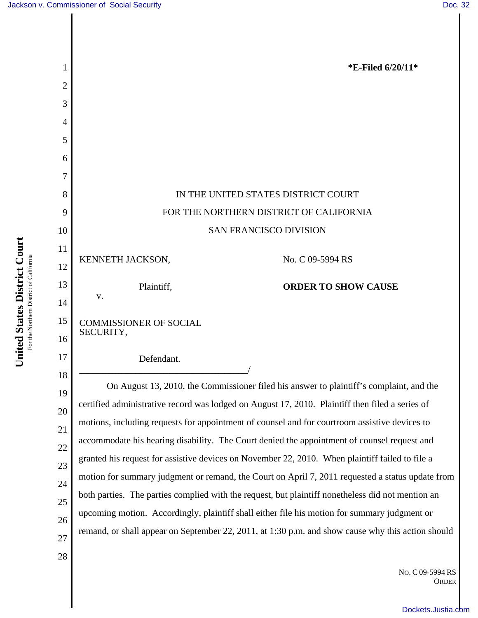

NO. C 09-5994 RS ORDER

[Dockets.Justia.com](http://dockets.justia.com/)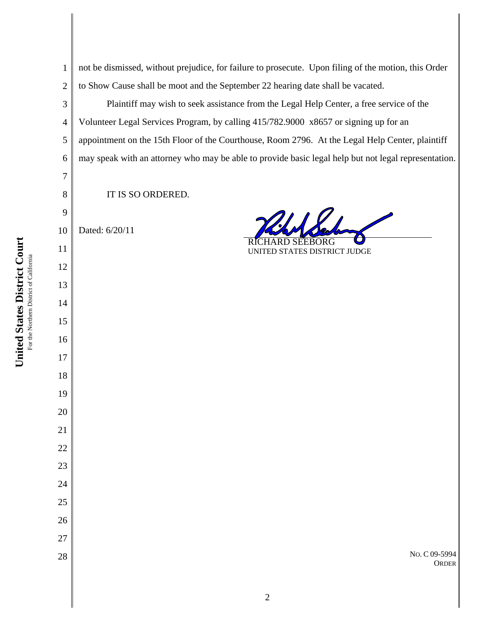**Court** For the Northern District of California For the Northern District of California **States District United** 

 not be dismissed, without prejudice, for failure to prosecute. Upon filing of the motion, this Order to Show Cause shall be moot and the September 22 hearing date shall be vacated.

Plaintiff may wish to seek assistance from the Legal Help Center, a free service of the Volunteer Legal Services Program, by calling 415/782.9000 x8657 or signing up for an appointment on the 15th Floor of the Courthouse, Room 2796. At the Legal Help Center, plaintiff may speak with an attorney who may be able to provide basic legal help but not legal representation.

IT IS SO ORDERED.

 Dated: 6/20/11

 $\mathcal{U}$ 

RICHARD SEEBORG UNITED STATES DISTRICT JUDGE

> NO. C 09-5994 **ORDER**